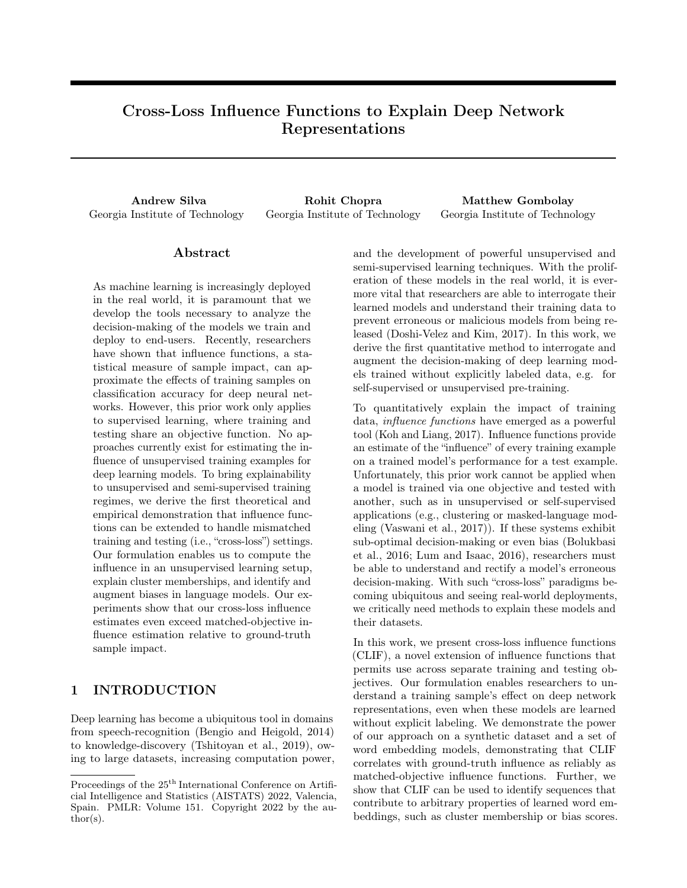# Cross-Loss Influence Functions to Explain Deep Network Representations

Andrew Silva **Rohit Chopra** Matthew Gombolay Georgia Institute of Technology Georgia Institute of Technology Georgia Institute of Technology

### Abstract

As machine learning is increasingly deployed in the real world, it is paramount that we develop the tools necessary to analyze the decision-making of the models we train and deploy to end-users. Recently, researchers have shown that influence functions, a statistical measure of sample impact, can approximate the effects of training samples on classification accuracy for deep neural networks. However, this prior work only applies to supervised learning, where training and testing share an objective function. No approaches currently exist for estimating the influence of unsupervised training examples for deep learning models. To bring explainability to unsupervised and semi-supervised training regimes, we derive the first theoretical and empirical demonstration that influence functions can be extended to handle mismatched training and testing (i.e., "cross-loss") settings. Our formulation enables us to compute the influence in an unsupervised learning setup, explain cluster memberships, and identify and augment biases in language models. Our experiments show that our cross-loss influence estimates even exceed matched-objective influence estimation relative to ground-truth sample impact.

# 1 INTRODUCTION

Deep learning has become a ubiquitous tool in domains from speech-recognition (Bengio and Heigold, 2014) to knowledge-discovery (Tshitoyan et al., 2019), owing to large datasets, increasing computation power, and the development of powerful unsupervised and semi-supervised learning techniques. With the proliferation of these models in the real world, it is evermore vital that researchers are able to interrogate their learned models and understand their training data to prevent erroneous or malicious models from being released (Doshi-Velez and Kim, 2017). In this work, we derive the first quantitative method to interrogate and augment the decision-making of deep learning models trained without explicitly labeled data, e.g. for self-supervised or unsupervised pre-training.

To quantitatively explain the impact of training data, influence functions have emerged as a powerful tool (Koh and Liang, 2017). Influence functions provide an estimate of the "influence" of every training example on a trained model's performance for a test example. Unfortunately, this prior work cannot be applied when a model is trained via one objective and tested with another, such as in unsupervised or self-supervised applications (e.g., clustering or masked-language modeling (Vaswani et al., 2017)). If these systems exhibit sub-optimal decision-making or even bias (Bolukbasi et al., 2016; Lum and Isaac, 2016), researchers must be able to understand and rectify a model's erroneous decision-making. With such "cross-loss" paradigms becoming ubiquitous and seeing real-world deployments, we critically need methods to explain these models and their datasets.

In this work, we present cross-loss influence functions (CLIF), a novel extension of influence functions that permits use across separate training and testing objectives. Our formulation enables researchers to understand a training sample's effect on deep network representations, even when these models are learned without explicit labeling. We demonstrate the power of our approach on a synthetic dataset and a set of word embedding models, demonstrating that CLIF correlates with ground-truth influence as reliably as matched-objective influence functions. Further, we show that CLIF can be used to identify sequences that contribute to arbitrary properties of learned word embeddings, such as cluster membership or bias scores.

Proceedings of the  $25<sup>th</sup>$  International Conference on Artificial Intelligence and Statistics (AISTATS) 2022, Valencia, Spain. PMLR: Volume 151. Copyright 2022 by the au- $\text{thor}(s)$ .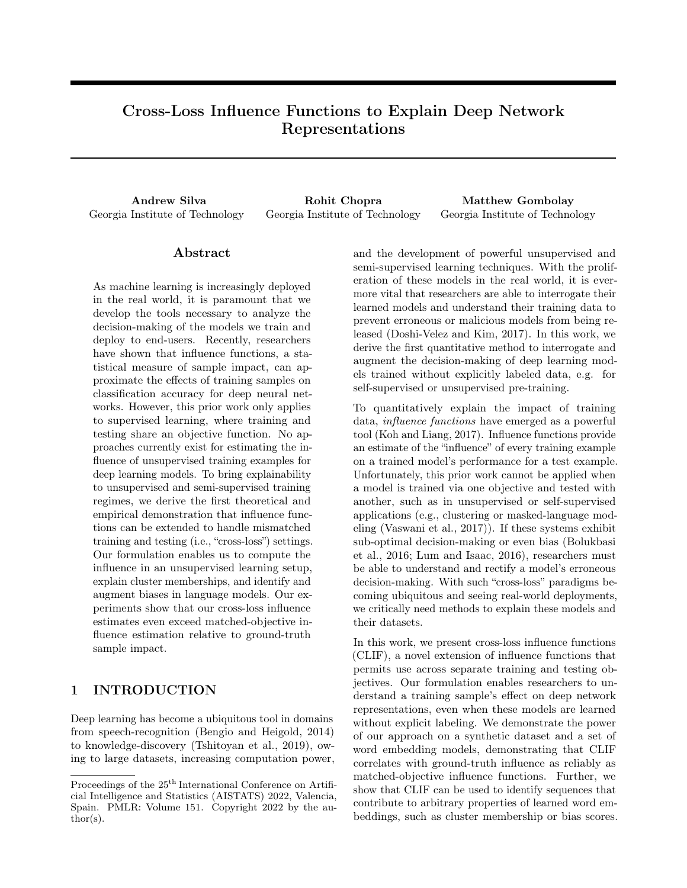

Figure 1: Taking a word embedding model and its training data, our approach explains properties of word embeddings (e.g., a high score on a racial bias test) by identifying which training samples are contributing most to these properties. We employ these training samples to augment the model. The relationship between Race and Religion is explored in Section 4.3.1.

Our novel extension to influence functions contributes a powerful tool for interrogating large datasets, and generalizes the technique to an array of modern deep learning deployments.

We graphically depict the novel capability of our approach for a candidate application to explainability and debiasing in Figure 1. Upon finding racial bias in a word embedding model, our approach takes the trained word embedding model with the original dataset and identifies the individual training sequences which contribute most significantly to the racial bias. With the most relevant sequences identified, we can fine-tune the model and undo the influence of these sequences, mitigating the negative bias.

# 2 RELATED WORK

Explainability Explainable machine learning is a growing area of research seeking to help researchers and practitioners alike ensure the desired functions of their machine learning models. As the field receives increased attention, various explainability mechanisms have been proposed, including interpretable neural network approaches (Wang et al., 2016), natural language generation of explanations (Mullenbach et al., 2018; Wiegreffe and Pinter, 2019; Chen et al., 2021), and many others Hoffman et al. (2018); Holzinger et al. (2020); Linardatos et al. (2021). One promising direction is case-based reasoning or explanation by example (Caruana et al., 1999, 2015), in which a model returns an explanatory sample for each model prediction. Our CLIF approach affords explanation by example, finding training samples to explain model properties.

In large datasets, finding relevant samples for explanation is not a trivial task, as similarity metrics reveal related data but not explanatory data. Koh and Liang (2017) introduced the *influence function* to deep networks as a means of discovering the magnitude of each training sample's impact on a deep network's final prediction for an unseen test case. The approach of Brunet et al. (2018) extends influence functions to GloVe (Pennington et al., 2014); however, this method is designed specifically for GloVe embeddings with cooccurrence matrix rather than neural networks with arbitrary pre-training objectives. Han et al. (2020) apply the influence function to supervised sentiment analysis and natural language inference tasks, again being classification tasks with matched train and test objectives. Finally, Barshan et al. (2020) introduce a normalization scheme for influence functions to improve robustness to outliers.

Our work is unique in that we are the first to generalize influence functions to mismatched training and testing loss functions. Our approach enables researchers to take a model trained without supervision, such as deep unsupervised learning (Xie et al., 2016) or word embedding models, and explain relationships between embeddings.

Bias in Word Embeddings Word embeddings have emerged as a standard for representing language in neural networks, and are therefore ubiquitous in language-based systems. A standard approach to learn these embeddings is Word2Vec (Mikolov et al., 2013) which transforms words from one-hot dictionary indices into information-rich vectors. Research has shown that Word2Vec embeddings capture a word's meaning and offer powerful representations of words used in many settings (Bakarov, 2018). Transformer-based models, such as BERT (Devlin et al., 2018), build contextual sequence representations by applying attention mechanisms to word-embeddings, leveraging information in the embeddings.

Bolukbasi et al. (2016) were among the first to discover the inherent biases in word embeddings, a finding that has been replicated in transformers (Basta et al., 2019;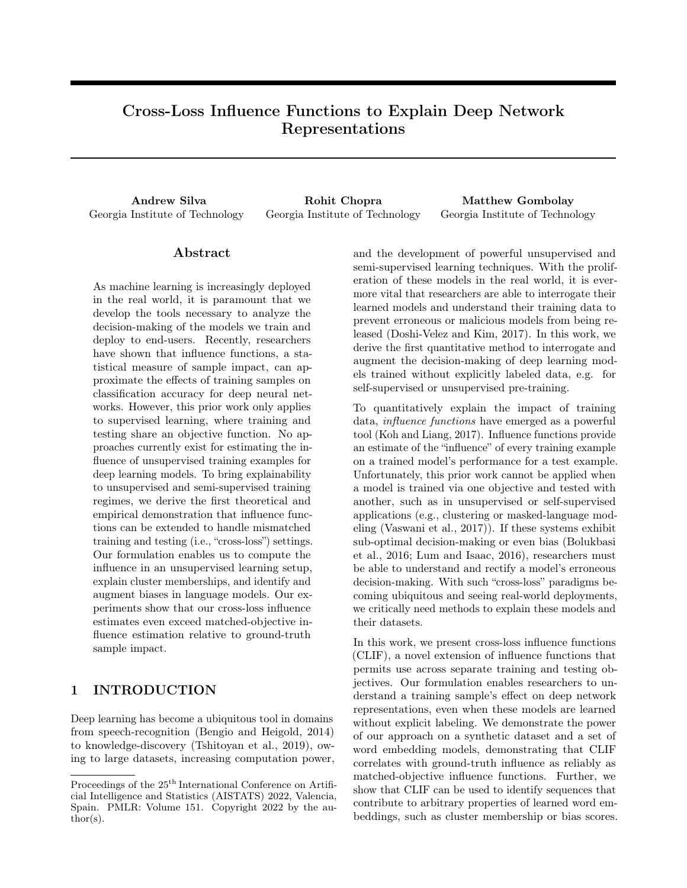Kurita et al., 2019; Silva et al., 2021) and more (Costajussà et al., 2019; Swinger et al., 2019; Nissim et al., 2020). Caliskan et al. (2017) presented the Word Embedding Association Test (WEAT) to test word embeddings for implicit bias, e.g. by aligning male with math and female with arts. Our definition of bias and its implications is given in Section 7.

## 3 APPROACH

The aim of our work is to help explain the properties of representations learned via any objectives (e.g., unsupervised or semi-supervised learning) by finding training examples which are most responsible for those properties. Here, we consider an embedding model parameterized by  $\theta$ . For every test example,  $z_{te}$ , we want to find the effect of increasing the weight of a training sample  $z_{tr}$  on the model's performance on  $z_{te}$ . Koh and Liang (2017) show that the effect of upweighting  $z_{tr}$  is given by Equation 1.

$$
L(z_{te}, z_{tr}) = r L(z_{te}, \hat{\theta})^T H_\wedge^{-1} r L(z_{tr}, \hat{\theta}) \qquad (1)
$$

 $H_{\uparrow}$  is the Hessian of the loss function with respect to model parameters  $\theta$ . Koh and Liang (2017) leverage recent work (Agarwal et al., 2016) to efficiently estimate the inverse Hessian-vector product (HVP).

### 3.1 Explaining Deep Network Representations

The original influence function from Equation 1 assumes that the loss function remains the same for both sets of samples  $z_{te}$  and  $z_{tr}$ . We instead seek to compute influence on representations learned by any deep learning models, even if the training and testing tasks are different. To compute the effects of training samples on arbitrary properties of the model's learned representation, e.g. cluster centroids or scores on a bias test, we need an approach that can compute influence across multiple different objectives.

To address this need for cross-loss influence estimation, we relax the assumption that both loss functions must be the same. Building on prior work (Agarwal et al., 2016), we estimate the HVP via any twicedifferentiable objective, thus providing the overall loss landscape for deep network representations as they are refined. This approach is in contrast to prior uses of the influence function for deep networks, which estimated the HVP according to a supervised-learning objective that matched the test task.

We now provide analytical proof for this approach to obtaining explanations for mismatched objectives. First, we review the original influence function formulation, using a training objective to estimate the effect of each sample on the model parameters. Second, we prove a novel theorem enabling us to substitute any differentiable testing loss function in our cross-loss influence function rather than requiring testing and training loss functions to be equivalent.

Theorem 1. Exchanging the testing loss function of Equation 1 for an arbitrary differentiable objective, we can compute the influence of training examples on the new objective.

Proof. Koh and Liang (2017) derive that the effect of upweighting a single sample, z, on models parameterized by  $\hat{\theta}$  is defined by Equation 2.

$$
I_{\text{up},\text{params}}(z) := \frac{d\hat{\theta}_{z}}{d\epsilon} \Big|_{\epsilon=0} = H_{\text{w}}^{-1} \Gamma L(z, \hat{\theta}) \qquad (2)
$$

Here,  $\hat{\theta}$  is the model parameterization that minimizes the loss L. Equation 2 models the impact of taking an infinitesimally small stochastic gradient descent step evaluated at the test data point, z. The updated parameters,  $\hat{\theta}$ ; z, are given by the satisfaction of Equation 3.

$$
\hat{\theta}_{i,z} := \arg\min_{\mathcal{Z}} \frac{1}{N} \sum_{i=1}^{N} L(z_i, \theta) + \epsilon L(z, \theta) \qquad (3)
$$

For  $\hat{\theta}_{z}$ , we can estimate the rate of change for a loss function on a new sample  $dL(z_{te}, \hat{\theta}_{z})$  with respect to the original model parameters  $\theta$  by combining the derivative of the loss function with the rate of change for  $\hat{\theta}$ ; z as a function of  $\epsilon$ , as in Equation 4.

$$
I_{\text{up}}L(z, z_{te}) := \frac{dL(z_{te}, \hat{\theta}_{z2})}{d\epsilon} \Big|_{\text{=0}} = \left[ \frac{dL(z_{te}, \hat{\theta})}{d\hat{\theta}} \frac{d\hat{\theta}_{z2}}{d\epsilon} \right]_{\text{=0}} \tag{4}
$$

It follows, then, that the influence of upweighting a sample z on a different loss function  $L^{\theta}$  is given in Equation 5.

$$
I_{\text{up}}L^{\theta}(z, z_{te}) := \frac{dL^{\theta}(z_{te}, \hat{\theta}_{z}z)}{d\epsilon}\Big|_{t=0}
$$

$$
= \left[\frac{dL^{\theta}(z_{te}, \hat{\theta})}{d\hat{\theta}}\frac{d\hat{\theta}_{z}z}{d\epsilon}\right]_{t=0} \tag{5}
$$

This derivation indicates that we can estimate the influence of changing parameters on a new loss function  $L^{\theta}$ , as the influence is determined as a function of  $\theta$ , which exists as the current model parameters. To estimate influence, we want to estimate how the value of  $L^{\theta}$  will change as  $\hat{\theta}$  is modified by  $\epsilon$ -sized gradient steps (i.e., how would upweighting a sample affect the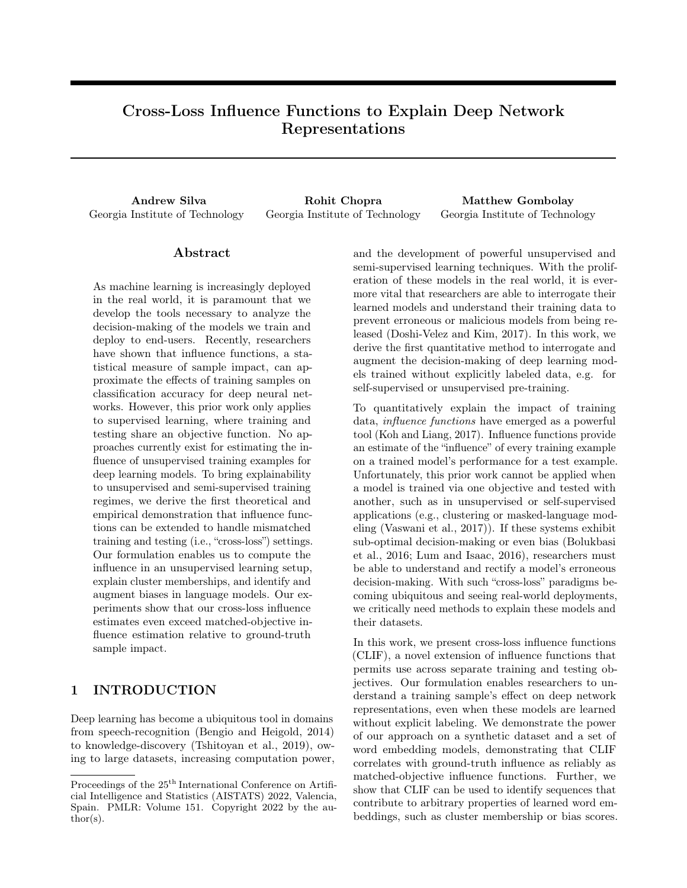final  $L^{\theta}$ ?). The rate of change of this effect is given as  $\frac{d^{\wedge}_{\epsilon,z}}{d}$ . Finally, we can estimate this change given Equation 2 with our training loss  $L$ .

This result proves that influence functions can be extended to any problem with a twice-differentiable training objective, opening up a wide array of new domains for explanation with influential examples. In the remainder of the paper, we empirically validate this analytical result, and present example scenarios for deployment of our CLIF formulation.

### 4 EXPERIMENTS

We conduct four experiments utilizing our approach to explain deep network representations. The first is validation of our approach for explainability on a synthetic dataset, verifying our results with leave-oneout retraining and straightforward data visualization. Next, we apply our approach using a small language dataset which we can fully review, allowing us to closely examine select examples as a case-study (Section 4.2). Third, we conduct a thorough test of our approach on a dataset which a human could not reasonable review manually, which we additionally follow-up with an in-depth exploration of spurious correlations that our method can discover, but that human annotators would likely miss (Section 4.3.1). Finally, we present a novel approach to word-embedding augmentation for bias mitigation using samples discovered by our approach (Section 4.4).

#### 4.1 Clustering Accuracy: Synthetic Data

In this section, we to demonstrate that CLIF can uncover influential training data for models trained via unsupervised learning (i.e., clustering). In this experiment, we apply Deep Embedded Clustering (DEC) (Xie et al., 2016) to a synthetic dataset to learn a lowerdimensional representation of the data in the form of clusters. We then change contexts to consider a supervised learning loss,  $L_{NLL}$ , the negative log-likelihood loss for predicting the correct cluster, y, given a data point, z. This experiment serves as an ideal test domain for CLIF as we are able to empirically validate all influence predictions over the entire dataset in addition to comparing to a matched-objective influence estimation.

In our experiment, we train a model to learn three cluster centroids on a mixture of gaussians (MOG) dataset, shown in Figure 2. With the synthetic dataset, we train two models– one via supervised learning (using the  $L_{N+1}$  objective), and one via DEC. With these two models, we compare two approaches to influence esti-



(a) Empirical MOG Influence

(b) Predicted MOG Influence

Figure 2: (Left) After leave-one-out retraining with the entire dataset, we identify the ten most influential samples which amplify and mitigate classification loss in our MOG dataset. (Right) We show the ten most amplifying or mitigating samples according to CLIF.

mation: (1) using the original influence function, with  $L_{NLL}$  as the training and testing loss function (Equation 6), and (2) using DEC (ignoring the ground truth labels in training) and testing with  $L_{NLL}$  (Equation 7). The testing loss is evaluated with respect to a prediction,  $\hat{y}$ , and ground-truth, y, for data points, z, with training labels,  $\&$ .

$$
L = r L_{NLL}(\hat{y}, y)^{T} H^{-1} r L_{NLL}(\hat{z}, \theta(z)) \qquad (6)
$$

$$
L = r L_{NLL}(\hat{y}, y)^{T} H^{-1} r L_{DEC}(\theta(z))
$$
 (7)

This comparison allows us to establish the correlation between the actual, empirical influence of each sample and the predicted influence with CLIF.

For each data point in this experiment, we ask the question: "Which points in the dataset have contributed to this sample being assigned to the correct or incorrect class?" We provide an example of the estimated and actual influence on a single point in Figure 2, showing the efficacy of our approach.

We pass all samples through the influence function in addition to performing leave-one-out (LOO) retraining across the entire dataset, allowing us to compare the predicted vs. actual influence of every point in the dataset on every other point, and obtain a Pearson's correlation coefficient between predicted and actual influence for all samples.

With matched train and test objectives (i.e. Equation 6), we observe one class in which 100% Pearson correlation coefficients for LOO retraining are > 0.8 (i.e.  $100\% > 0.8$ ). We also see strong performance in the remaining classes  $(38\% > 0.8$  and  $36\% > 0.8)$ . When applying CLIF (i.e. Equation 7), we see a an even stronger correlation, with one class again achieving near-perfect correlation  $(100\% > 0.8)$ , and the remaining classes correlating more closely than matchedobjective predictions  $(52\% > 0.8$  and  $44\% > 0.8$ ). This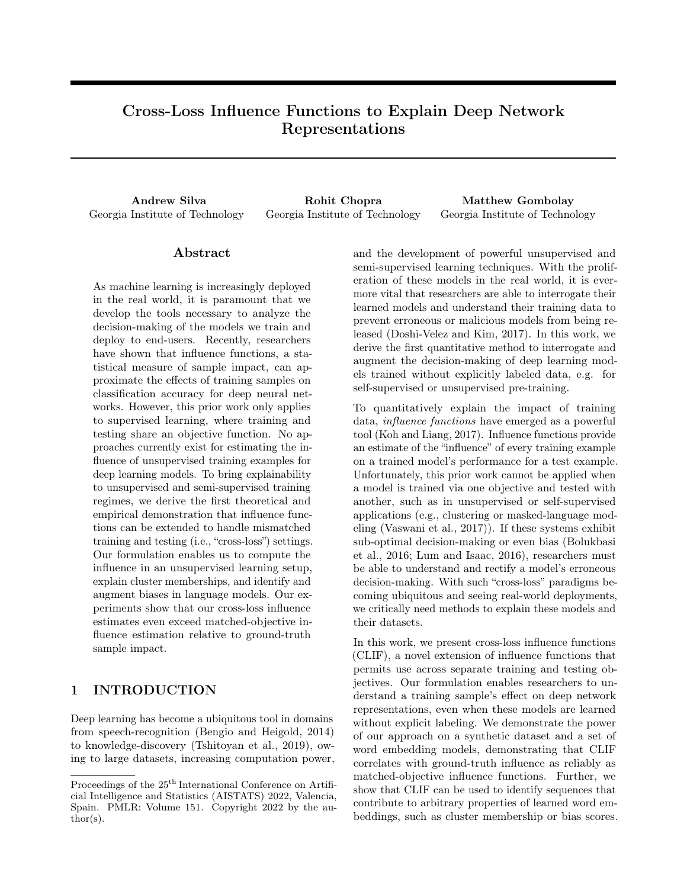result demonstrates the utility of CLIF as the cross-loss influence correlation is higher than the matched-objective influence correlation.

#### 4.2 Nearest Neighbors: Science Fiction

We next evaluate the efficacy of CLIF in explaining word embedding nearest-neighbor relationships for a science fiction dataset,  $D_{SCI}$  (Ammanabrolu et al., 2019), bringing our synthetic-dataset experiments to real text data. This dataset includes over 2,000 plot summaries from a handful of science fiction television programs. We expect CLIF will be able to find salient sentences in the plot summaries which explain an embedding's local neighborhood.

Throughout our word embedding experiments, we leverage the Skip-gram model, which is based on the idea that words nearby in a sentence are more related than distant words. Each word,  $\vec{w}_i$ , in a sequence is paired with its neighbors in a context window to create a set of k context-word pairs  $[\vec{c}_1, \vec{w}_j], [\vec{c}_2, \vec{w}_j], ... [\vec{c}_k, \vec{w}_j]$ . One also draws a set of unrelated words,  $N_i$ , from the entire corpus according to their frequency to serve as negative examples. Each word  $\vec{w}_i$ , context  $\vec{c}$ , and negative-set,  $N_i$ , tuple  $h \vec{w}_j$ ,  $\vec{c}$ ,  $N_i$  is then an input to the neural network, which is tasked with minimizing the difference between  $\vec{w}_i$  and  $\vec{c}$  and maximizing the difference between  $\vec{w}_j$  and all negative samples in  $N_i$ , as shown in Equation 8, where  $\sigma$  is the sigmoid function.

$$
L_{SG}(\vec{w}_j, \vec{c}, N_i) = \mathop{\mathbb{E}}_{\substack{n \\ N_i}} [\sigma(\vec{w}_j^T \vec{n})] \quad \sigma(\vec{w}_j^T \vec{c}) \tag{8}
$$

After training a set of Skip-gram word embeddings on  $D<sub>SCI</sub>$ , we then examine nearest-neighbors for different words in the dataset, and apply CLIF to discover more about the these nearest-neighbor relationships. We leverage CLIF with a mean-squared error (MSE) loss modification, given in Equation 9. The MSE loss function is the difference between where an embedding e was initialized,  $E_I(e)$ , and where it finishes training,  $E_F(e)$ , which models the question "Which training" samples are most responsible for moving e to its final location/neighborhood?"

$$
L(e, z_t) = r \; MSE(e)^{T} H^{-1} r \; L_{SG}(z_t) \qquad (9)
$$

We specifically investigate three case studies from our dataset: a Star Wars villain named "Dooku", a Star Trek hero "Kirk", and the main character of Doctor Who, the "Doctor." We observe that Dooku is ultimately placed into a group of villains (including terms such as "exploits," "confrontation," and "fighters"), Kirk is near other Star Trek captains and characteristics of his character (including words such as "Janeway," "beams," and "flirting"), and the Doctor is placed into a Doctor Who neighborhood (including other names from the show such as "Donna," "Rory," and "Gallifrey").

We ask, "Which samples moved each word to their final neighborhood?" and "Which samples would push them out?" Applying CLIF to  $D_{SCI}$ , we surface the most influential plot summaries for each word embedding and present a subset of instances in Table 1.

We observe that samples returned by CLIF intuitively match the neighbors for each word in our case study. For Dooku, CLIF returns reinforcing plot summaries involving Dooku as a villain ("Dooku as a place holder Sith apprentice and ally in the war,"), while plot summaries that would move Dooku away from his final position include flashback plots before his character turned evil ("now ... Jinn,"). The Doctor's reinforcing plot summaries include Doctor Who episodes, while other uses of the word "doctor" would move the word embedding away from its Doctor Who neighborhood (e.g., references to doctors in other shows). Finally, we observe that original Star Trek episodes reinforce Kirk's association with Star Trek concepts, while references to Kirk from other shows, such as Futurama, serve to move Kirk's embedding away due to the abnormal use of "Kirk" in novel contexts (e.g., with new characters and locations).

#### 4.3 Model Bias: Wiki Neutrality Corpus

We have thus far shown that our approach successfully discovers influential samples for a synthetic MOG dataset and a dataset of plot summaries, each of which is we can manually review. Next, we evaluate CLIF on a relatively large dataset–large enough to prevent full human annotation. We leverage a larger dataset of Wikipedia edits from Pryzant et al. (Pryzant et al., 2019) containing 180,000 sentences pairs, each consisting of a point-of-view biased sentence and its neutralized counterpart. Due to this dataset's significantly increased size, this experiment provides us with a domain which is much more representative of a real-world machine learning deployment scenario for de-biasing.

In order to quantify bias with an objective function, we leverage the Word Embedding Association Test (WEAT) (Caliskan et al., 2017). For each set of "target" words (e.g., male) and "attribute" words (e.g., math) which comprise a WEAT, the WEAT score indicates the effect size for a bias in the word embeddings<sup>1</sup>. The tests for this dataset involve four relevant WEATs from prior work: gender-career  $(WEAT_C)$ , gender-math  $(WEAT_M)$ , gender-art  $(WEAT_A)$ , and race-pleasantness  $(WEAT_R)$ .

CLIF for a WEAT objective is shown in Equation 10.

<sup>&</sup>lt;sup>1</sup>A formal definition is included in the appendix.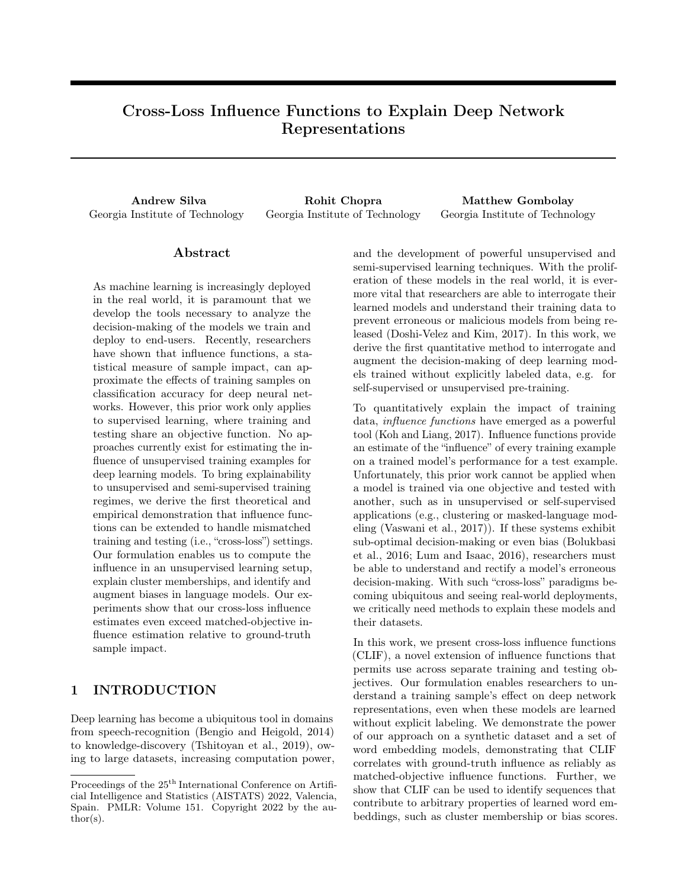|               | Dooku                                                                                                                                               |
|---------------|-----------------------------------------------------------------------------------------------------------------------------------------------------|
|               | " Wars, such as seeking Dooku as a place holder Sith apprentice and ally in the war."                                                               |
| Reinforcing   | "the Sith sees will be easily manipulated"                                                                                                          |
| Excerpts, $A$ | Doctor                                                                                                                                              |
|               | "Using the psychic paper, the Doctor presents credentials"                                                                                          |
|               | "The Doctor begins scanning the house with the sonic screwdriver"                                                                                   |
|               | Kirk                                                                                                                                                |
|               | "A landing party from the USS Enterprise comprised of Captain Kirk, Scott, Dr. McCoy, "                                                             |
|               | "Due to this transporter accident, Kirk has been split into two beings"                                                                             |
|               |                                                                                                                                                     |
|               | Dooku                                                                                                                                               |
|               |                                                                                                                                                     |
| Removing      | "The young Padawan Dooku had recently been appointed to Jedi Thame Cerulian."<br>now a full-pledged Jedi, Dooku began to train young Qui-Gon Jinn." |
| excerpts, $M$ | Doctor                                                                                                                                              |
|               | "Amy Wong and Leela drag Fry and Bender to the gym and Doctor Zoidberg tags along."                                                                 |
|               | "Elsewhere on Deep Space 9, Doctor Bashir is called to the wardroom"                                                                                |
|               | Kirk                                                                                                                                                |
|               | "Zapp Brannigan is holding a court martial in the Planet Express Ship, "                                                                            |

Table 1: Influential Training Data Explaining Sci-Fi Nearest Neighbors.

The WEAT loss function uses the absolute value of the effect size as the test loss value, and asks, "Which samples are most responsible for high amounts of bias?" Explanatory examples and results are presented here for the set of all point-of-view biased samples,  $D_B$ , and in the appendix for the set of neutralized samples,  $D_N$ .

$$
L(WEAT, z_{tr}) = r WEATTH-1r LSG(z_{tr})
$$
\n(10)

To establish the bias inherent in the datasets, the results of the four WEATs are given in Table 3 as "Original." We leverage CLIF for WEAT (Equation 10) to identify sources of bias, as shown in Table 2. We note that many examples which are best for mitigating the bias inherent in the word embeddings are not necessarily neutral but are instead biased in an orthogonal or antilinear direction to the existing bias, such as aligning male with *art*. This finding is discussed further in Section 5. The examples our method returns for amplifying or mitigating bias demonstrate that our method can open the black box of representation learning and explain the genesis word embedding properties.

### 4.3.1 Case Study: Hidden Influential Concepts

CLIF enables us to find seemingly unrelated concepts that are highly influential to model bias. For example, investigating the samples which are most influential for the  $WEAT_R$  over  $D_N$ , reveals that two of the most influential samples appear completely unrelated to the  $WEAT_{R}$ :

"In Jewish self-hatred, a person exhibits a strong shame or hatred of their Jewish identity, of other Jews, or of the Jewish religion."

"Islamophobia is the irrational fear and or hatred of Islam, Muslims, or Islamic culture."

We can see that there are no words from the WEAT target set for race, or words from the pleasant set, but instead the samples align a religion concept with unpleasant. This finding is important, as it suggests that even a manual review of datasets may be inadequate – unwanted biases may be lurking in non-obvious correlations that are only revealed through a more quantitative approach.

To understand these non-obvious examples, we construct a WEAT with only one set of attribute concepts, comparing the target concepts (*names*) in  $WEAT_R$ to the religious terms above. We find that African-American names have twice the mean cosine-similarity to religious terms (0.12 vs 0.06) compared to European-American, and the one-sided WEAT score is 1.11. This alignment sheds light on the curious set of influential examples. Rather than finding examples where unpleasant terms coincide with African-American names, we found samples in which concepts that are strongly aligned with African-American names (i.e., religion) are aligned with unpleasant terms. Not only is our approach crucial for revealing such findings, but we also present avenues to mitigate these biases (Section 4.4).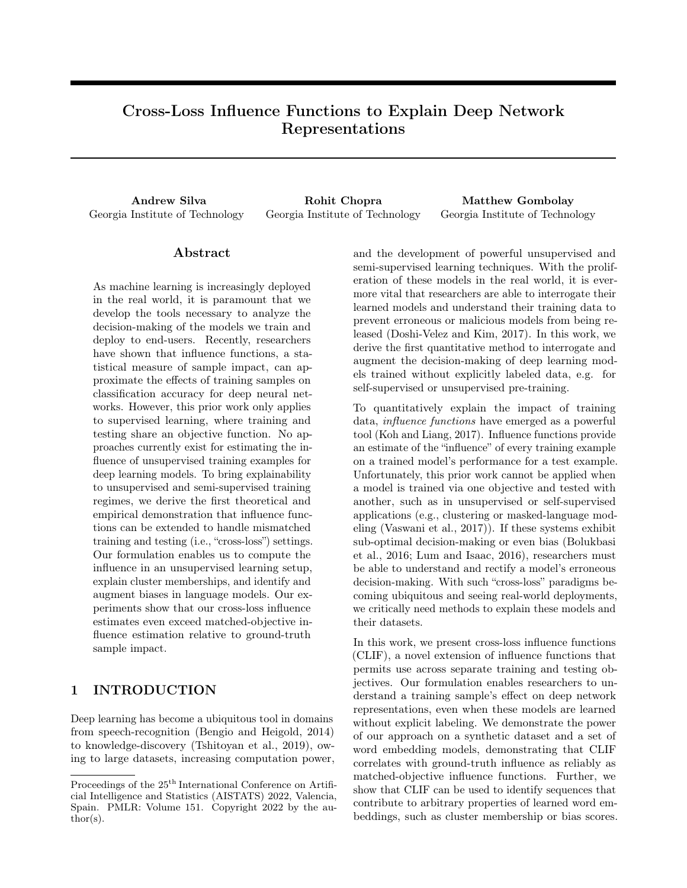| WEAT   | Set              | Example                                                                  | Cause                |
|--------|------------------|--------------------------------------------------------------------------|----------------------|
| Career | $\overline{A}$   | "The vice president has an office in the building but his primary office | Aligns male          |
|        |                  | is next door in the Eisenhower executive office building."               | and business.        |
| Career | М                | "Classical violinist Joshua Bell joins bluegrass musicians Sam Bush and  | Breaks alignment of  |
|        |                  | Mike Marshall and the versatile Meyer on the album."                     | male and career.     |
| Math   | $\overline{A}$   | "Maxwell's $hNUM$ formulation was in terms of $hNUM$ i                   | Aligns male          |
|        |                  | equations in $hNUMi$ variables although he later attempted               | and math.            |
|        |                  | a quaternion formulation that proved awkward"                            |                      |
| Math   | М                | "Most programming languages are designed around computation              | Aligns female        |
|        |                  | whereas Alice is designed around storytelling and thus has greater       | and math.            |
|        |                  | appeal to female students."                                              |                      |
| Art    | $\overline{A}$   | "Gentry claim that his critics are not able to supply actual             | Aligns male          |
|        |                  | scientific evidence to combat his work"                                  | and science.         |
| Art    | М                | "However his subsequent performance received almost universal acclaim."  | Aligns male and art. |
| Race   | $\boldsymbol{A}$ | "Afterward, Mario, Peach, and the others then begin their well           | Aligns EA names      |
|        |                  | deserved vacation                                                        | and pleasant         |
| Race   | М                | "President Barack Obama returned from vacation sporting"                 | Aligns AA names      |
|        |                  | Oliver Peoples sunglasses                                                | and pleasant         |

Table 2: Examples of Influential Samples for Word Embedding Association Test Scores in  $D_B$ 

### 4.4 Bias Removal or Reinforcement

In our final experiment, we empirically validate our approach to explainability by using the results of our influence estimation to augment properties of word embeddings. With an ordered set of all influential examples, we separate the samples into two sets which have the greatest effect on bias: training examples that amplify bias, A, and training examples that mitigate bias, M. We assert that we have found influential samples if we are able to reduce bias according to WEAT by removing the effects of the bias-amplifiers  $(A)$  or by reinforcing the effects of bias-mitigators  $(M)$ . We remove the effects of A by calculating training losses for each sample,  $a \, 2 \, A$ , and then taking gradient steps in the opposite direction. Similarly, we reinforce the effects of  $M$  by fine-tuning over  $M$ . Finally, we experiment with the combination of both removing the effects of  $A$  and reinforcing the effects of  $M$  in tandem. Set sizes for  $A$  and  $M$  are given in the appendix.

In these experiments, we compare our fine-tuning debiasing to gender-dimension debiasing from prior work (Bolukbasi et al., 2016). We test fine-tune debiasing both with and without gender-dimension debiasing, showing that it always yields word embeddings with a weaker biased effect (i.e., more neutral embeddings). Results for our experiments are given in Table 3, where a zero-effect size indicates neutral embeddings according to WEAT.

We find that augmenting word embeddings with training examples in  $A$  and  $M$  reduces and even removes bias as measured by WEAT. We present an auxiliary experiment in the appendix in which we exchange sets A and M and see that they further polarize the data and increase bias. Taken together, these findings further demonstrate that our approach finds samples of importance (i.e. strong cross-loss influence) and that finetuning with such samples meaningfully affects dataset bias according to WEAT.

Finally, we compare the method from Bolukbasi et al. (2016) to ours on both  $D_B$  and  $D_N$ . In Table 3, we find that our approach is effective at reducing high gender and racial bias. On the other hand, the method of Bolukbasi et al. (2016) performs very poorly for racial bias. This poor result can be explained by a reliance on an assumed "bias-vector." Unfortunately, if the bias' magnitude is not large enough or if the bias-vector is inaccurate, applying the method of Bolukbasi et al. (2016) can increase bias. This effect is visible in the Gender Career test on  $D_N$  in Table 3.

As our approach does not make assumptions about dimensions of bias vectors, our method may be applied even if bias is already low. We can therefore apply prior work (Bolukbasi et al., 2016) first and then apply our fine-tuning on top, an approach shown in the "Ours (post (Bolukbasi et al., 2016))" row of Table 3. This combination almost always yields the most neutral results. Ultimately our final experiment has shown that our approach to explainability is quantitatively verified on a large dataset of real-world language data, enabling insight into sources of bias and enabling us to even remove unwanted model bias without the tenuous assumptions of prior work.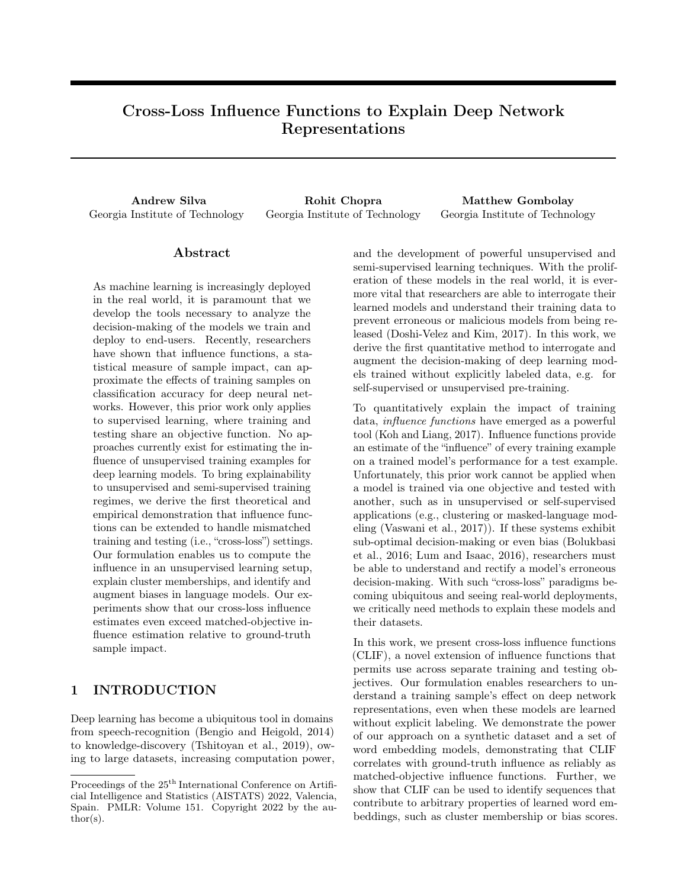|                                     | $D_B$         |                       |                       |          | $D_N$                               |         |                       |          |
|-------------------------------------|---------------|-----------------------|-----------------------|----------|-------------------------------------|---------|-----------------------|----------|
| Method                              | Gender        | Gender                | Gender                | Race     | Gender                              | Gender  | Gender                | Race     |
|                                     | $\rm{Career}$ | $\operatorname{Math}$ | $\operatorname{Arts}$ | Pleasant | $\mathop{{\text{Career}}}\nolimits$ | Math    | $\operatorname{Arts}$ | Pleasant |
| Original                            | 0.48          | 0.52                  | $-0.43$               | 0.53     | $-0.05$                             | 0.66    | $-0.82$               | 0.55     |
| Bolukbasi et al. (2016)             | 0.008         | 0.12                  | $-0.04$               | 0.53     | $-0.29$                             | 0.16    | 0.09                  | 0.71     |
| Ours)                               | 0.01          | 0.10                  | 0.01                  | 0.02     | $-0.01$                             | $-0.02$ | $-0.11$               | $-0.07$  |
| Ours (post Bolukbasi et al. (2016)) | 0.000         | 0.009                 | $-0.05$               | 0.07     | $-0.07$                             | $-0.01$ | $-0.01$               | $-0.03$  |

Table 3: WEAT Effect Sizes Across  $D_B$  and  $D_N$ . Zero Means Unbiased. Bold Highlights Least Bias.

# 5 DISCUSSION

Our novel derivation of CLIF brings newfound explainability to deep network representations through identification of relevant training examples. Our method permits insight into deep network representations, even with unsupervised and self-supervised training objectives, and offers an approach to mitigating bias by fine-tuning a trained model with discovered samples. Our experimental results in Section 4 demonstrate the powerful potential of our method to both explain and manipulate deep network representations.

In our synthetic data domain (Section 4.1), we evaluated the predicted and actual influence of all samples in the dataset using both matched and mismatched objectives. When compared to ground-truth influence, we found that mismatched objectives with CLIF yielded higher average correlation  $(65.5\% > 0.8)$  than influence functions with matched-objective settings  $(58\% < 0.8)$ . Through this experiment, we empirically validated our approach in an example deployment scenario of unsupervised pre-training with multiple classes, before moving into the word embedding domains.

Applying CLIF to explaining properties of sciencefiction concepts, we provide another case study of our approach applied to explaining nearest-neighbors. After examining the nearest-neighbors of different word embeddings (Dooku, Kirk, and Doctor), we find that CLIF surfaces highly relevant plot summaries for each word both as reinforcing examples (e.g., original Star Trek or Doctor Who episodes) or removing examples (e.g., Futurama episodes).

In our bias explainability domain (Section 4.3), we discovered that samples which mitigate bias are often ones which would encourage greater diversity in the target sets. For example, we see in Table 2 that one sample which lowers the  $WEAT_C$  score for  $D_B$  is one which aligns male with music. While  $WEAT_C$  tests for relative career-family alignment, encouraging male to move closer to music is also a viable strategy for reducing the strength of the *male-career* association relative to the male-family or female-career associations. Similar approaches to reducing the WEAT scores can

be seen throughout Table 2 and the appendix, where simply aligning *male* and *female* concepts with more diverse concepts can have the effect of lowering overall bias. We find that these diversification trends apply unless the  $WEAT$  effect is already sufficiently close to zero, as the  $WEAT_C$  in  $D_N$ .

Finally, we have shown that our work improves the state of the art in bias-dimension neutralization through complementary fine-tuning on relevant training data. As prior work is founded on the assumption that the principal component of a set of biased words is correlated with a bias dimension, we find that their approach increases bias if applied to a set of already-neutralized embeddings, as this principal component assumption is then no longer valid. However, with enough of a "gender" component, prior work can significantly lower bias, and our approach can then continue to reduce bias that is missed by prior work, nearly perfectly neutralizing WEAT effects. As prior work only includes a very small list of racial words to establish a "race" dimension, the method underperforms on the  $WEAT_R$ test. Fine-tuning with CLIF circumvents this issue, permitting modification of learned embeddings with influential samples and having more substantial effect on model bias.

# 6 LIMITATIONS

Our work is predicated on two core assumptions. First, we assume that downstream task performance can be predicted by first-order interactions with a training objective. For example, in our WEAT and Skip-gram embedding examples, our work assumes that WEAT effects can be explained directly by the Skip-gram losses in our training data. However, as we showed in our case study on hidden concepts (Section 4.3.1) such assumptions are not always valid. In cases where downstream task performance (e.g. a WEAT effect) is explained by second-order relationships, our method will yield seemingly unrelated training data (e.g. sequences about religious concepts).

The second core assumption within our work is that we have access to all training data used for the model. Influence calculation for training data requires access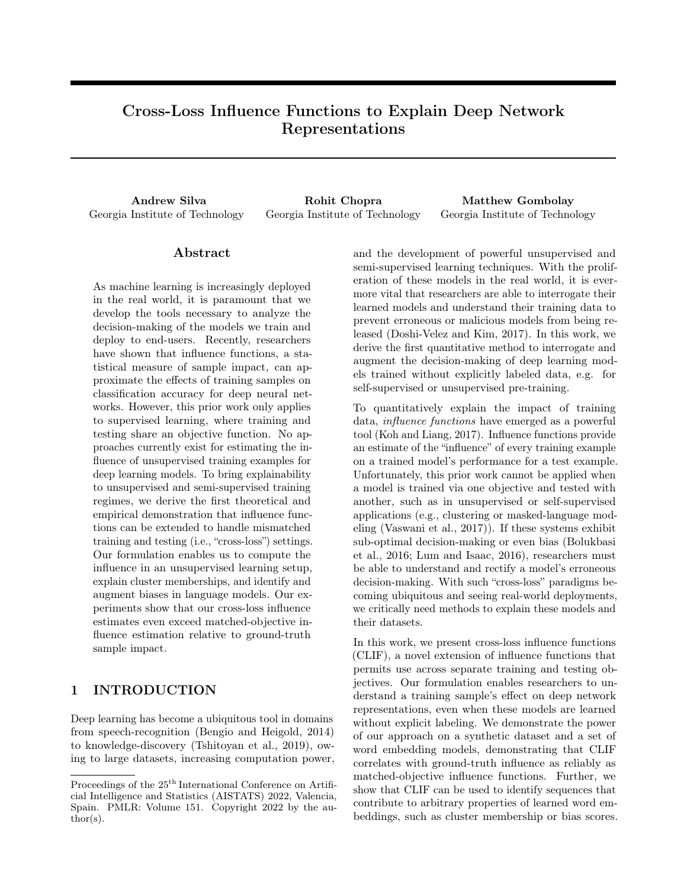to the training data, in order to calculate each sample's effect on some cross-loss objective. In private federated learning setups, continual learning setups, or other paradigms where we may not retain access to static training data, then our method will not be able to highlight historically relevant samples– we can only consider samples that we can directly process.

# 7 SOCIETAL IMPACT

Deep learning is prevalent in the real world, and embedding models are foundational to the deployment of deep learning at-scale. Whether as video-encoders, word-embedding models, speech-encoders, or others, embedding models enable the success of on-device machine learning and provide the basis for modern machine learning research and deployment. Furthermore, prior research has already shown that many deployments of machine learning research contain inherent biases (Silva et al., 2021; Bolukbasi et al., 2016; Lum and Isaac, 2016). As such, it is imperative that the research community develop and evaluate a diverse set of tools for discovering and eliminating bias. Our work contributes one such tool, which we demonstrate may be used in conjunction with prior work or for independent dataset interrogation.

Crucially, our work relies on a definition of bias and an objective function to represent that definition. Proper application of our approach to de-biasing or fairness will require careful definition of such objectives. Recent work (Blodgett et al., 2020) has called bias research into question for poor motivation, unclear definition, and a lack of grounding. In our work, "bias" refers to a mismatch in alignment between neutral words, such as "microscope," with gendered words, such as "brother" and "sister." The WEAT (Caliskan et al., 2017) was adapted from well-established psychology literature on the Implicit Association Test (Greenwald et al., 1998) as a means of estimating inequality in word embedding cosine similarities. We specifically investigate WEAT effects in our work, and are therefore investigating a mismatch in cosine similarities of embeddings when we discuss bias. Implications for this bias are explored further in the original WEAT work, specifically that language models may "acquire historical cultural associations, some of which may be objectionable,"(Caliskan et al., 2017) and that these associations may be propagated or misused in downstream applications. Our work explicitly offers explainability into the WEAT and its effects, and we make no further claims with respect to its definition of bias or its implications. To apply our approach to other measures of bias and fairness would require engineering and evaluating a new objective.

## 8 CONCLUSION

We have presented an extension to influence functions for estimating sample importance in deep networks with arbitrary train and test objectives. Our extension allows us to explain deep network representations by revealing which training samples are the most relevant to final test performance, even for tests which are unrelated to the training task, such as bias tests. We demonstrated this approach by explaining various deep network representations, as well as by fine-tuning Word2Vec models to alter the model's inherent biases. Our approach affords greater explainability across a variety of problems and makes the influence function more broadly available to researchers in machine learning as a tool for model and dataset interrogation.

### Acknowledgments

This work was supported by NASA Early Career Fellowship grant 80HQTR19NOA01-19ECF-B1.

#### References

- Naman Agarwal, Brian Bullins, and Elad Hazan. Second-order stochastic optimization in linear time. stat, 1050, 2016.
- Prithviraj Ammanabrolu, Ethan Tien, Wesley Cheung, Zhaochen Luo, William Ma, Lara Martin, and Mark Riedl. Guided neural language generation for automated storytelling. In Proceedings of the Second Workshop on Storytelling, Florence, Italy, August 2019. Association for Computational Linguistics. doi: 10.18653/v1/W19-3405.
- Amir Bakarov. A survey of word embeddings evaluation methods. arXiv preprint arXiv:1801.09536, 2018.
- Elnaz Barshan, Marc-Etienne Brunet, and Gintare Karolina Dziugaite. Relatif: Identifying explanatory training samples via relative influence. volume 108 of Proceedings of Machine Learning Research, Online, 26–28 Aug 2020. PMLR.
- Christine Basta, Marta R Costa-jussà, and Noe Casas. Evaluating the underlying gender bias in contextualized word embeddings. arXiv preprint arXiv:1904.08783, 2019.
- Samy Bengio and Georg Heigold. Word embeddings for speech recognition. 2014.
- Su Lin Blodgett, Solon Barocas, Hal Daume III, and Hanna Wallach. Language (technology) is power: A critical survey of "bias" in nlp. arXiv preprint arXiv:2005.14050, 2020.
- Tolga Bolukbasi, Kai-Wei Chang, James Y Zou, Venkatesh Saligrama, and Adam T Kalai. Man is to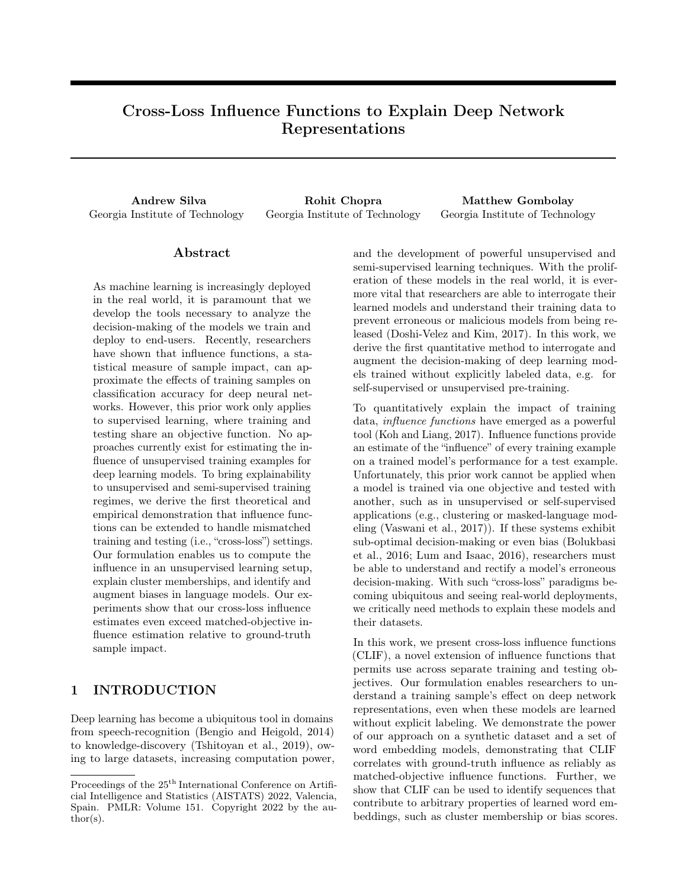computer programmer as woman is to homemaker? debiasing word embeddings. In Advances in neural information processing systems, 2016.

- Marc-Etienne Brunet, Colleen Alkalay-Houlihan, Ashton Anderson, and Richard Zemel. Understanding the origins of bias in word embeddings. arXiv preprint arXiv:1810.03611, 2018.
- Aylin Caliskan, Joanna J Bryson, and Arvind Narayanan. Semantics derived automatically from language corpora contain human-like biases. Science, 356(6334), 2017.
- Rich Caruana, Hooshang Kangarloo, JD Dionisio, Usha Sinha, and David Johnson. Case-based explanation of non-case-based learning methods. In Proceedings of the AMIA Symposium. American Medical Informatics Association, 1999.
- Rich Caruana, Yin Lou, Johannes Gehrke, Paul Koch, Marc Sturm, and Noemie Elhadad. Intelligible models for healthcare: Predicting pneumonia risk and hospital 30-day readmission. In Proceedings of the 21th ACM SIGKDD International Conference on Knowledge Discovery and Data Mining, KDD '15, page 1721–1730, New York, NY, USA, 2015. Association for Computing Machinery. ISBN 9781450336642. doi: 10.1145/2783258.2788613. URL https://doi.org/10.1145/2783258.2788613.
- Hanxiong Chen, Xu Chen, Shaoyun Shi, and Yongfeng Zhang. Generate natural language explanations for recommendation. arXiv preprint arXiv:2101.03392, 2021.
- Marta R. Costa-jussà, Christian Hardmeier, Will Radford, and Kellie Webster, editors. Proceedings of the First Workshop on Gender Bias in Natural Language Processing, Florence, Italy, August 2019. Association for Computational Linguistics.
- Jacob Devlin, Ming-Wei Chang, Kenton Lee, and Kristina Toutanova. Bert: Pre-training of deep bidirectional transformers for language understanding. arXiv preprint arXiv:1810.04805, 2018.
- Finale Doshi-Velez and Been Kim. Towards a rigorous science of interpretable machine learning. arXiv preprint arXiv:1702.08608, 2017.
- Anthony G Greenwald, Debbie E McGhee, and Jordan LK Schwartz. Measuring individual differences in implicit cognition: the implicit association test. Journal of personality and social psychology, 74(6), 1998.
- Xiaochuang Han, Byron C. Wallace, and Yulia Tsvetkov. Explaining black box predictions and unveiling data artifacts through influence functions. In Proceedings of the 58th Annual Meeting of the Association for Computational Linguistics, pages 5553–5563, Online,

July 2020. Association for Computational Linguistics. doi: 10.18653/v1/2020.acl-main.492. URL https://aclanthology.org/2020.acl-main.492.

- Robert R Hoffman, Shane T Mueller, Gary Klein, and Jordan Litman. Metrics for explainable ai: Challenges and prospects. arXiv preprint arXiv:1812.04608, 2018.
- Andreas Holzinger, André Carrington, and Heimo Müller. Measuring the quality of explanations: the system causability scale (scs). KI-Künstliche Intelligenz, pages 1–6, 2020.
- Pang Wei Koh and Percy Liang. Understanding blackbox predictions via influence functions. In Proceedings of the 34th International Conference on Machine Learning-Volume 70. JMLR. org, 2017.
- Keita Kurita, Nidhi Vyas, Ayush Pareek, Alan W Black, and Yulia Tsvetkov. Measuring bias in contextualized word representations. arXiv preprint arXiv:1906.07337, 2019.
- Pantelis Linardatos, Vasilis Papastefanopoulos, and Sotiris Kotsiantis. Explainable ai: A review of machine learning interpretability methods. Entropy, 23 (1):18, 2021.
- Kristian Lum and William Isaac. To predict and serve? Significance, 13(5), 2016.
- Tomas Mikolov, Kai Chen, Greg Corrado, and Jeffrey Dean. Efficient estimation of word representations in vector space. arXiv preprint arXiv:1301.3781, 2013.
- James Mullenbach, Sarah Wiegreffe, Jon Duke, Jimeng Sun, and Jacob Eisenstein. Explainable prediction of medical codes from clinical text. arXiv preprint arXiv:1802.05695, 2018.
- Malvina Nissim, Rik van Noord, and Rob van der Goot. Fair is better than sensational: Man is to doctor as woman is to doctor. Computational Linguistics, 46(2):487–497, June 2020. URL https://aclanthology.org/2020.cl-2.7.
- Jeffrey Pennington, Richard Socher, and Christopher D Manning. Glove: Global vectors for word representation. In Proceedings of the 2014 conference on empirical methods in natural language processing (EMNLP), 2014.
- Reid Pryzant, Richard Diehl Martinez, Nathan Dass, Sadao Kurohashi, Dan Jurafsky, and Diyi Yang. Automatically neutralizing subjective bias in text. arXiv preprint arXiv:1911.09709, 2019.
- Andrew Silva, Pradyumna Tambwekar, and Matthew Gombolay. Towards a comprehensive understanding and accurate evaluation of societal biases in pretrained transformers. In Proceedings of the 2021 Conference of the North American Chapter of the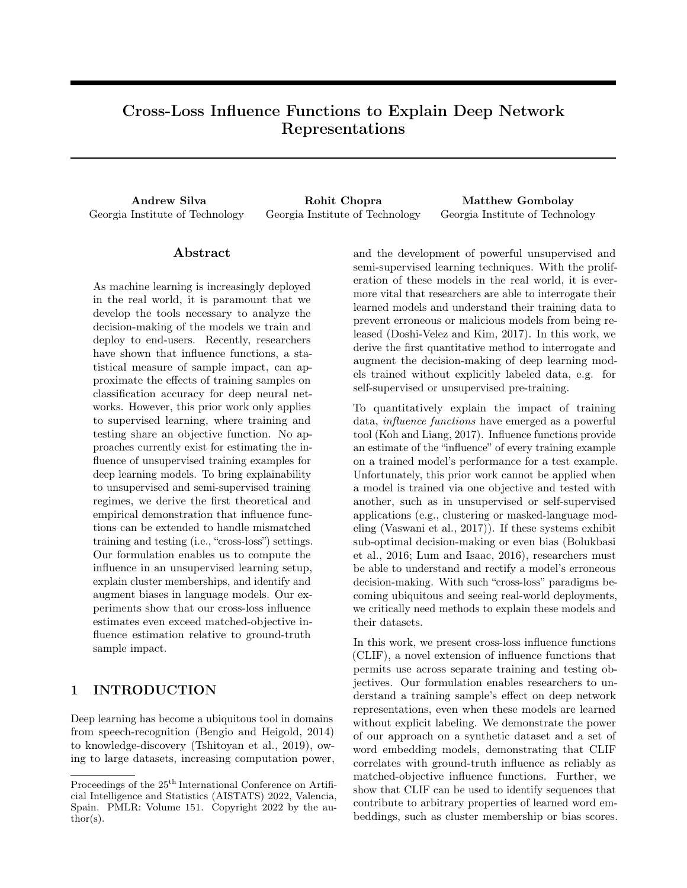Association for Computational Linguistics: Human Language Technologies, pages 2383–2389, 2021.

- Nathaniel Swinger, Maria De-Arteaga, Neil Thomas Heffernan IV, Mark DM Leiserson, and Adam Tauman Kalai. What are the biases in my word embedding? In Proceedings of the 2019 AAAI/ACM Conference on AI, Ethics, and Society, 2019.
- Vahe Tshitoyan, John Dagdelen, Leigh Weston, Alexander Dunn, Ziqin Rong, Olga Kononova, Kristin A Persson, Gerbrand Ceder, and Anubhav Jain. Unsupervised word embeddings capture latent knowledge from materials science literature. Nature, 571(7763), 2019.
- Ashish Vaswani, Noam Shazeer, Niki Parmar, Jakob Uszkoreit, Llion Jones, Aidan N Gomez, Łukasz Kaiser, and Illia Polosukhin. Attention is all you need. In Advances in neural information processing systems, 2017.
- Tong Wang, Cynthia Rudin, Finale Velez-Doshi, Yimin Liu, Erica Klampfl, and Perry MacNeille. Bayesian rule sets for interpretable classification. In 2016 IEEE 16th International Conference on Data Mining (ICDM). IEEE, 2016.
- Sarah Wiegreffe and Yuval Pinter. Attention is not not explanation. arXiv preprint arXiv:1908.04626, 2019.
- Junyuan Xie, Ross Girshick, and Ali Farhadi. Unsupervised deep embedding for clustering analysis. In International conference on machine learning, 2016.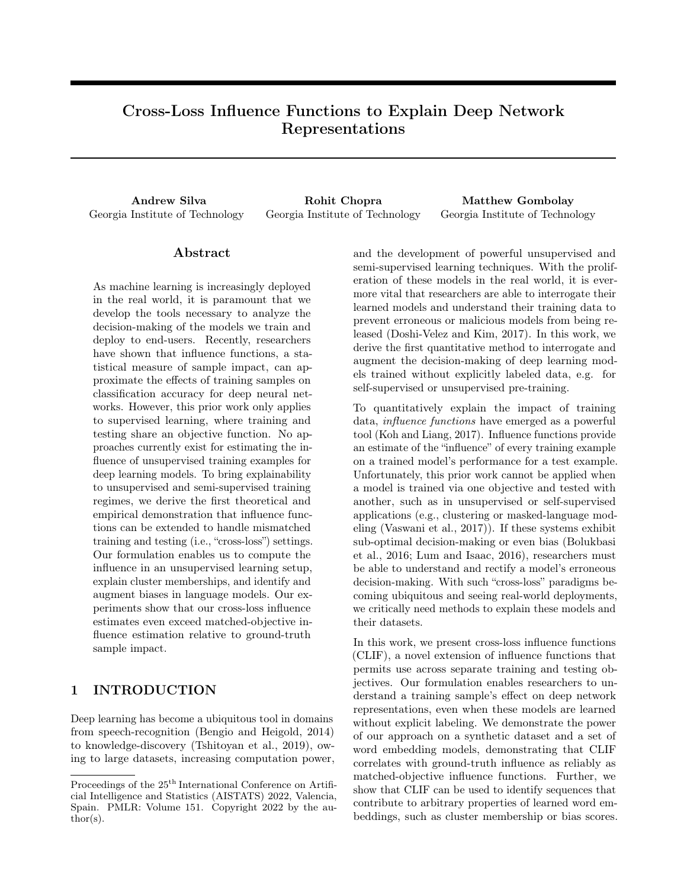Supplementary Material for: Cross-Loss Influence Functions to Explain Deep Network Representations

## A CLIF Algorithmic Walkthrough

Here we present a pseudocode block for the CLIF calculation in our work. Calculation of gradients is done using PyTorch (e.g. list(grad(loss val, list(model.parameters()), create graph=True))). Our code is available at https://github.com/CORE-Robotics-Lab/Cross\_Loss\_Influence\_Functions

Algorithm 1 CLIF Calculation

1: Given: Test objective,  $L_{Te}$ , Twice-differentiable training objective,  $L_{Tr}$ 

2: Given: Trained model parameters  $\theta$ , Dataset D

3: Given: Embeddings to explain  $\epsilon$ 4: Initialize: Influential samples  $E$ 5: for  $d \nightharpoonup D$  do 6:  $z_d$  r  $\mathcal{L}_{\mathcal{T}\mathcal{e}}(\theta, \epsilon)$  // Calculate test-size effect on  $\epsilon$  under  $\theta$ 7:  $l_d$  r  $\mathcal{L}_{Tr}(\theta, d)$  // Calculate training impact of d on  $\theta$ 8:  $h_d$  r  $(l_d$   $z_d$ ) // Compute Hessian of  $l_d$  with respect to  $z_d$  under  $\theta$ 9: E  $E[\left(\frac{d}{d} h_d\right)]$  Store magnitude of gradient effects on  $h_d$  with respect to  $l_d$  under  $\theta$ 10: end for 11:  $return \space sorted(E) // Return \space ordered list \space of \space infuential \space samples$ 

# B WEAT Loss

In order to quantify bias with an objective function, we leverage the Word Embedding Association Test (WEAT) (Caliskan et al., 2017). For each set of "target" words (e.g., male) and "attribute" words (e.g., math) which comprise a WEAT, we take every word  $\vec{w}$  in target sets X and Y and compute its average cosine similarity with each set of attributes, A and B. With cs as the cosine-similarity function, the score is given in Equation 11, and the *WEAT* effect is given in Equation 12.

$$
s(\vec{w}, A, B) = \underset{a}{\mathbb{E}} \left[ cs(\vec{w}, \vec{a}) \right] \quad \underset{b}{\mathbb{E}} \left[ cs(\vec{w}, \vec{b}) \right] \tag{11}
$$

$$
WEAT = \frac{\mathbb{E}_{X}[s(\vec{w}, A, B)] \quad \mathbb{E}_{Y}[s(\vec{w}, A, B)]}{\mathbb{E}_{W} \left[\sigma(s(\vec{w}, A, B))^{2}\right]} \tag{12}
$$

$$
L(WEAT, z_{tr}) = r WEATTH-1r LSG(z_{tr})
$$
\n(13)

The tests for this dataset involve four relevant WEATs from prior work: gender-career  $(WEAT<sub>C</sub>)$ , gender-math  $(WEAT_M)$ , gender-art  $(WEAT_A)$ , and race-pleasantness  $(WEAT_R)$ .

Our cross-loss influence function for a WEAT objective is shown in Equation 13. The WEAT loss function uses the absolute value of the effect size as the test loss value.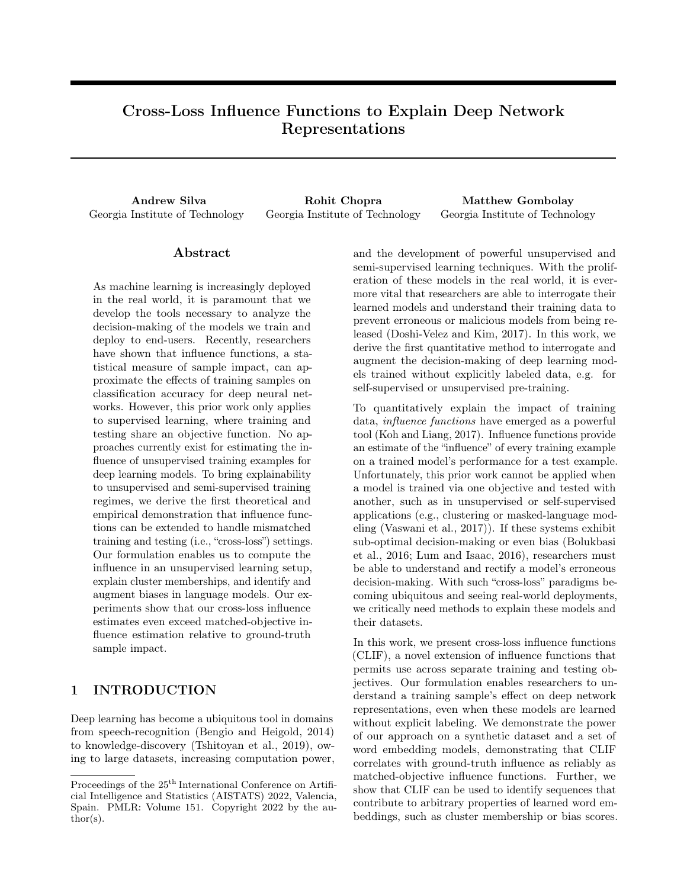#### B.1 WEAT Derivative

The WEAT objective consists of a set of cosine similarity comparisons, computing the difference in mean cosinesimilarity between two sets of words (the target sets) with a third set (the attribute set). To compute the WEAT derivative analytically, one must compute the derivative of the cosine similarity between two words (given in Equation 14), and apply the product and chain rules to the resulting derivative equations.

$$
\frac{\partial \cos(a, b)}{\partial a_i} = \frac{b_i}{j b j \ j a j} \quad \cos(a, b) \frac{a_i}{j a_j^2} \tag{14}
$$

### C WEAT Examples

Examples of the WEATs that we use are given in Table 4. Note that some tests, such as Math and Art overlap very heavily, meaning that correcting one score often involves correcting both.

### D Over-Biasing Experiments

We conduct an auxiliary experiment to validate the claim that our approach has found samples which are relevant to the model's inherent bias. Rather than attempting to undo or neutralize inherent bias, we instead reverse the process described in the main paper and instead amplify the inherent biases.

Ordinarily, we mitigate bias by reinforcing the effects of "mitigating" samples, M, and undoing the effects of "amplifying" samples A. In this experiment, we swap sets  $M$  and  $A$ , polarizing the models as much as possible. Our results are given in Tables 5 & 6. Curiously, the  $WEAT_{\mathcal{R}}$  effect flips for both datasets,  $D_{\mathcal{B}}$  and  $D_{\mathcal{N}}$ . Even so, the overall bias in each dataset is clearly exacerbated, as WEAT effects are nearly perfectly polarized for most tests. Even the near-neutral  $WEAT_C$  on  $D_N$  has been increased substantially. While we would never want to apply such dataset augmentations in the wild, the ability of our discovered samples to so greatly amplify inherent dataset biases provides addition empirical support for our approach.

### E Bias Experiments on  $D_N$

In this section, we include results which further support our central hypotheses: proof of bias mitigation through amplifying and mitigating samples across four WEATs, given in Figures  $3 \& 4$ , and a set of samples which are among the highest in influence on the WEAT scores, given in Table 7. In each subfigure, we show the score on the corresponding WEAT for four different sets of updated word embeddings: corrections applied to neutralize the score on  $WEAT_C$  (Career Correction),  $WEAT_{\mathcal{M}}$  (Math Correction),  $WEAT_{\mathcal{A}}$  (Art Correction), and  $WEAT_R$ (Race Correction). We expect to see that corrections for each test effectively undo the discovered bias, and that the gender-aligned tests ( $WEAT_C$ ,  $WEAT_M$ , and  $WEAT_A$ ) move together.

We see an interesting case in  $D<sub>N</sub>$  in which initial bias is already very low (WEAT<sub>C</sub>). The initial bias test scores very near zero at 0.05, and resulting training examples are all quite neutral. Even when applied for hundreds or thousands of iterations, the score on the bias test barely shifts upwards, gently approach zero but never significantly over-correcting (Figure 4a).

To our surprise, we find that  $D_N$  contains higher baseline bias than  $D_B$ , despite containing copies of sentences in  $D_B$  which are explicitly neutralized to have no point of view. While counter-intuitive at first, the result is reasonable as we examine more of the data which is responsible. For instance, the sentence "Harris left NASA in

| Test                    | Symbol                   |                   |                      |                           |                        |
|-------------------------|--------------------------|-------------------|----------------------|---------------------------|------------------------|
| $\operatorname{Career}$ | $WEAT_C$                 | john, greg, jeff  | amy, lisa, donna     | executive, office, salary | home, wedding, family  |
| Math                    | <b>WEAT</b> <sub>M</sub> | male, boy, he     | female, girl, she    | math, geometry, numbers   | art, novel, drama      |
| Art                     | WEAT <sub>A</sub>        | son, his, uncle   | daughter, hers, aunt | poetry, dance, novel      | science, physics, nasa |
| Race                    | $WEAT_R$                 | josh, katie, jack | theo, jasmine, leroy | freedom, honor, love      | crash, ugly, hatred    |

Table 4: Word Embedding Association Test set examples. Tests are drawn from the original WEAT work (Caliskan et al., 2017).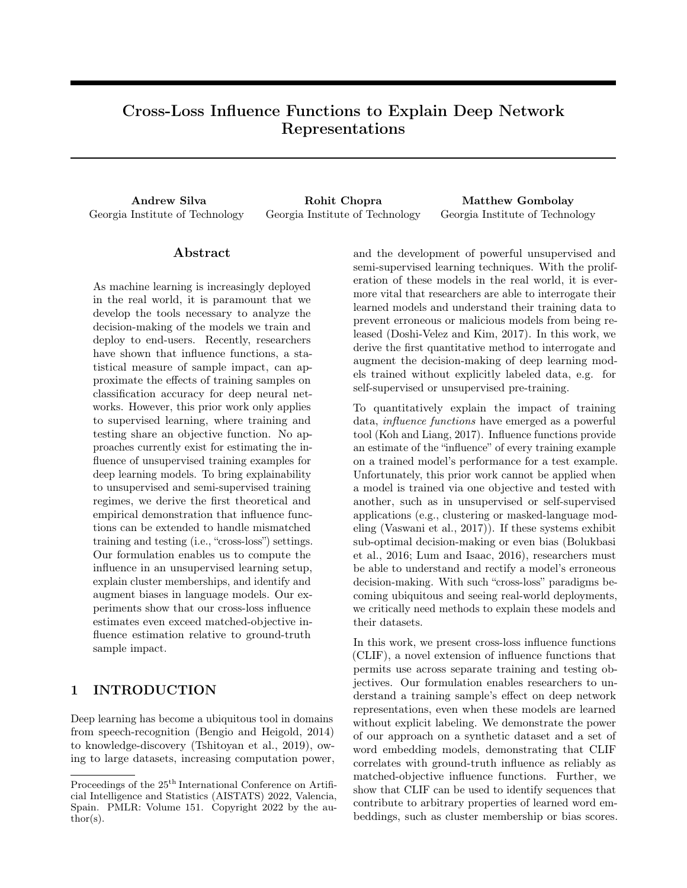| Method      | Gender | Gender | Gender  | Race     |
|-------------|--------|--------|---------|----------|
|             | Career | Math   | Arts    | Pleasant |
| Original    | 0.48   | 0.52   | $-0.43$ | 0.53     |
| Over-Biased | 0.94   | 1.61   | $-1.63$ | $-1.72$  |

Table 5:  $D_B$  WEAT effects after over-biasing

| Method      | Gender  | Gender | Gender  | Race<br>Pleasant |
|-------------|---------|--------|---------|------------------|
|             | Career  | Math   | Arts    |                  |
| Original    | $-0.05$ | 0.66   | $-0.82$ | 0.55             |
| Over-Biased | $-0.69$ | 1.85   | $-1.58$ | $-1.61$          |

Table 6:  $D_N$  WEAT effects after over-biasing

April  $hNUM$  but he continued in research," does not contain bias which can be neutralized, the content simply encourages alignment between *male* and *science*.

As shown in Table 7 and in examples from the main paper, we find that some of the strongest examples for each dataset are the same, even after neutralization. In particular, the examples which affect the  $WEAT_M$  score are often the same for  $D_B$  and  $D_N$ . Often times, these examples are reflective of the same male and science example given above: content itself is inherently aligning genders and attributes, even without being bigoted or sexist in a conventional sense. The finding that perspective-neutral content is responsible for bias again reinforces the need for approaches which can both explain and mitigate bias in word embeddings, as we are not simply able to screen out all content which introduces bias.

We find that there is a careful balance to strike between under- and over-correcting, a challenge shown in Figure 3a. While updating for 10 – 100 iterations might result in completely neutral gender-career word embeddings, applying the updates 1000 times ends up significantly skewing the embeddings in the other direction, over-aligning male with family and female with career.

While initially surprising, this result makes more sense as we begin to examine some of the members of sets A and  $M$  (Table 7), where we see that training examples which reduce bias are rarely neutral. Instead, when bias has a sufficiently high absolute value, the most helpful samples for correction are those which will over-correct when over-applied.

We find that the fine-tuning with correction sets for related effects moves related biases. For example, applying the Art Correction neutralizes the art bias, but also neutralizes career bias, as shown in Figure 3a. As we can see in Table 7, one of the most influential samples to mitigate bias in  $WEAT_M$  is one which aligns *female* and math, which has a side-effect of neutralizing  $WEAT_{\mathcal{A}}$ .

# F Amplifying and Mitigating Set Sizes

Amplifying set A and mitigating set M sizes for each dataset  $(D_B \text{ and } D_N)$  and correction set  $(WEAT_C - \text{Career})$ Correction,  $WEAT_M$  – Math Correction,  $WEAT_A$  – Art Correction, and  $WEAT_R$  – Race Correction) are given in Table 8.

# G Dataset Tokenization

Tokenization is a crucial piece to any language modeling project. In this section, we outline and justify our tokenization choices for the two datasets we considered in this work.

**Science Fiction** The goal of our experiments with  $D_{SCI}$  is to cluster meaningful concepts (e.g., heroes vs. villains, or Star Trek vs. Star Wars). To that end, we remove common stopwords and all words which are not represented at least five times in the corpus, leaving us with a vocabulary of 15,282 tokens. Using words which are represented at least five times means that we will have a denser corpus of commonly used tokens. Similarly, stopwords are common in all plot summaries, but they do not contain information which we wish to capture.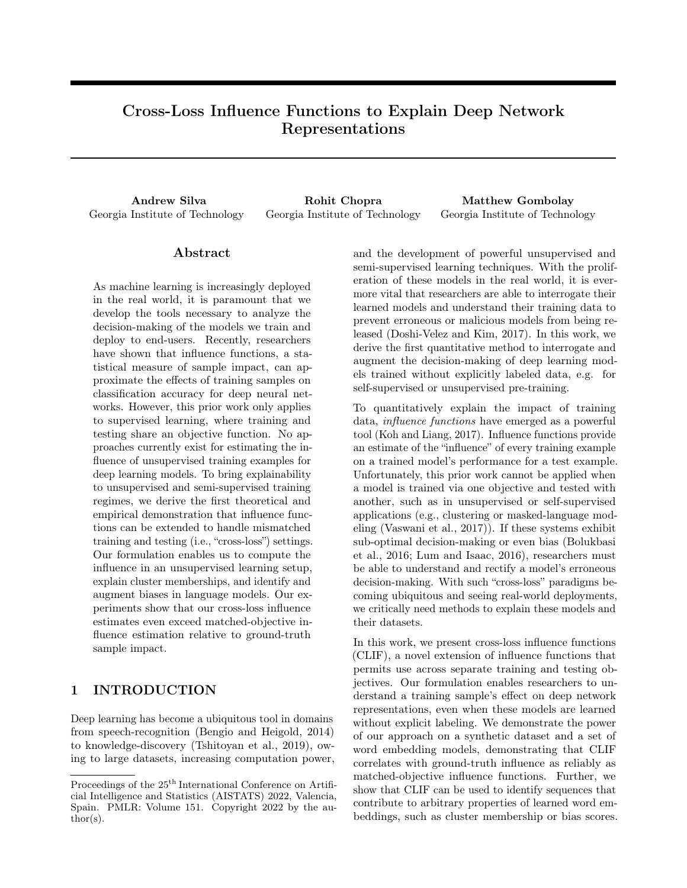

Figure 3: For the biased dataset,  $D_B$ , we observe the effects on WEAT scores as we modify the augment the word embedding model with samples discovered from our approach.



Figure 4: For the neutralized dataset,  $D_N$ , we observe the effects on WEAT scores as we modify the augment the word embedding model with samples discovered from our approach.

WNC The goals of our experiments with  $D_B$  and  $D_N$  are twofold: explainability around gender and racial bias, and augmentation of discovered biases. Because this set of experiments involves testing for gender bias specifically around pronouns (which are common stopwords), we do not remove stopwords for this dataset. Instead, we use the set of tokens generated in prior work, giving us a vocabulary of 25,355 tokens. Using a pre-made tokenization allows us to improve the reproducibility of our work and helps us to avoid injecting our own bias into the words that we search for. We use the same set of tokens for each dataset.

## H Word Embedding Model Training

In this section, we briefly cover hyperparameters which would be necessary to reproduce our word embedding models. For both approaches, negatives samples are drawn randomly from the entire training corpus  $(D<sub>SCI</sub>, D<sub>B</sub>)$ , or  $D_N$ ), and words are sampled according to their prevalence in the dataset.

**Science Fiction** We train an embedding model over  $D_{SCI}$  for 100 epochs with a context window of three, five negative samples per word-context pair, and an embedding dimension of 100. Training for so long allows for the embeddings to form dense clusters with related concepts after passing through all of the data many times, rather than clustering based on "first impressions" of the data.

WNC In keeping with prior work (Brunet et al., 2018), use a word embedding model with context window size of ten and an embedding dimension of 100. We sample ten negative tokens per word-context pair, and we train the model for sixty epochs. Despite having more data, we do not train this model for as long, as we do not want concepts to form dense clusters or share meanings. We want the word embeddings to maintain their own individual meanings and values, as they would in a real-world setting.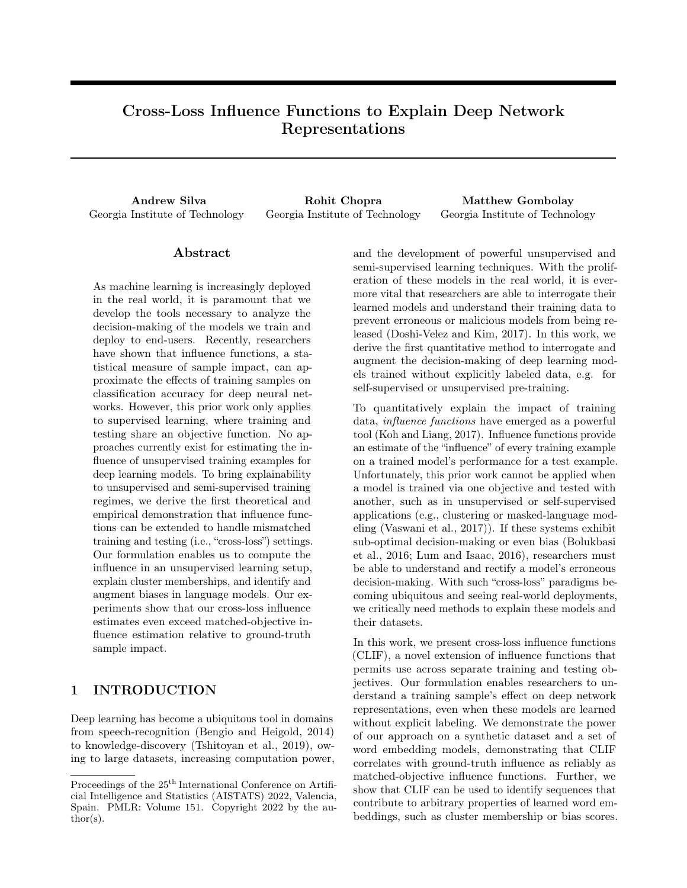| WEAT   | Set              | Example                                                              | Cause            |
|--------|------------------|----------------------------------------------------------------------|------------------|
| Career | $\overline{A}$   | "It has elected people to public office."                            | Neutral          |
| Career | М                | "They had a long marriage with no children."                         | Neutral          |
| Math   | $\boldsymbol{A}$ | "Maxwell's $hNUM$ formulation was in terms of $hNUM$                 | Aligns male      |
|        |                  | equations in $hNUMi$ variables although he later                     | and math         |
|        |                  | attempted a quaternion formulation"                                  |                  |
| Math   | M                | "Most programming languages are designed around computation          | Aligns female    |
|        |                  | whereas Alice is designed around storytelling and thus is claimed    | and math         |
|        |                  | to have greater appeal to female students."                          |                  |
| Art    | $\overline{A}$   | "With her dance moves she is best known for her spins                | Aligns female    |
|        |                  | and her hip hop moves."                                              | and art          |
| Art    | М                | "His first album after his $hNUM$ farewell concerts was dance 1981." | Aligns male      |
|        |                  |                                                                      | and art          |
| Race   | $\overline{A}$   | "It is a popular place for camping and recreational vacation."       | Aligns pleasant  |
|        |                  |                                                                      | topics           |
| Race   | М                | "Nate Holden performing arts center, the center at $hNUM$            | Aligns African-  |
|        |                  | 18 west Washington boulevard is the home of the                      | American and art |
|        |                  | Ebony Repertory theater company."                                    |                  |

Table 7: Examples of influential samples for Word Embedding Association Test scores in  $D_N$ . Many samples are important in both versions of the WNC, indicating their importance in bias propagation.

| Correction Set                         | $D_{\boldsymbol{B}}$ |      |
|----------------------------------------|----------------------|------|
| Gender-Career A                        |                      | 5    |
| Gender-Career M                        | 100                  | 0    |
| Gender-Math A                          | $\mathbf{0}$         |      |
| Gender-Math M                          | 100                  | 100  |
| Gender-Art A                           | ∩                    | 1000 |
| Gender-Art M                           | 100                  | ∩    |
| $\text{Race-Pleasantness} \mathcal{A}$ | ∩                    |      |
| $\text{Race-Pleasantness} \mathcal{M}$ | 5                    | 5    |

Table 8: Amplifying and Mitigating set sizes for  $D_B$  and  $D_N$ .

# I Matched vs Cross-Loss Influence Correlations

In this section, we present correlation plots between matched and cross-loss influence functions for our synthetic mixture-of-gaussians experiment (Figure 5. In each plot, empirical influence (i.e., the actual influence obtained via leave-one-out re-training) is plotted on the x-axis, and the predicted influence (according to matched or cross-loss influence functions) is depicted on the y-axis. We also plot a line of best-fit for each set of points, and present the correlation co-efficient and p-value for the Pearson's correlation in the legend.

These correlation plots show us the comparable or even improved correlation of cross-loss influence functions to empirical influence relative to matched-loss influence functions. We observe that matched-loss influence functions often provide estimates of influence that may be orders of magnitude off of ground-truth, while cross-loss influence functions are less prone to such over-estimations.